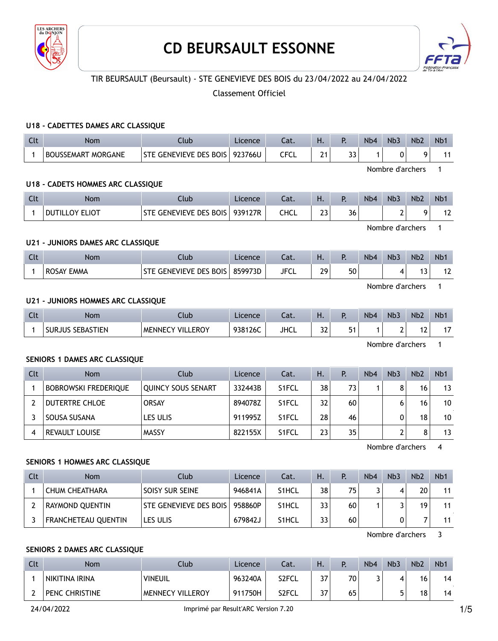

# **CD BEURSAULT ESSONNE**



# TIR BEURSAULT (Beursault) - STE GENEVIEVE DES BOIS du 23/04/2022 au 24/04/2022

# Classement Officiel

#### **U18 - CADETTES DAMES ARC CLASSIQUE**

| $\sim$<br>$\sim$ | <b>Nom</b>                          | Llub                             | cence   | Jac.      | . . |          | N <sub>b</sub> 4 | N <sub>b</sub> | <b>Nb2</b> | <b>Nb</b> |
|------------------|-------------------------------------|----------------------------------|---------|-----------|-----|----------|------------------|----------------|------------|-----------|
|                  | <b>MORGANE</b><br><b>BOUSSEMART</b> | GENEVIEVE DES BOIS<br><b>STF</b> | 923766U | CECI<br>∼ | ີ   | --<br>-- |                  | 0              | Ο          |           |

Nombre d'archers 1

#### **U18 - CADETS HOMMES ARC CLASSIQUE**

| Clt | <b>Nom</b>            | Club                      | Licence | $\sim$<br>Cal. | . .      |    | N <sub>b</sub> 4 | Nb <sub>3</sub> | Nb <sub>2</sub> | N <sub>b</sub> 1 |
|-----|-----------------------|---------------------------|---------|----------------|----------|----|------------------|-----------------|-----------------|------------------|
|     | <b>DUTILLOY ELIOT</b> | <b>GENEVIEVE DES BOIS</b> | 939127R | CHCL           | ີ<br>ر _ | 36 |                  |                 |                 |                  |

Nombre d'archers 1

#### **U21 - JUNIORS DAMES ARC CLASSIQUE**

| $\Gamma$ | Nom        | Club                   | Licence | Cat. | п. |    | N <sub>b</sub> 4 | Nb <sub>3</sub> | N <sub>b</sub> <sub>2</sub> | N <sub>b</sub> |
|----------|------------|------------------------|---------|------|----|----|------------------|-----------------|-----------------------------|----------------|
|          | ROSAY EMMA | STE GENEVIEVE DES BOIS | 859973D | JFCL | 29 | 50 |                  |                 | . .<br>. .                  | "              |

Nombre d'archers 1

#### **U21 - JUNIORS HOMMES ARC CLASSIQUE**

| $\sim$<br>Ult | Nom                               | Jlub                             | Licence | $\sim$<br>-dl. | -<br>٠.      | N <sub>b</sub> 4 | Nb <sub>3</sub> | Nb <sub>2</sub>   | N <sub>b</sub> 1 |
|---------------|-----------------------------------|----------------------------------|---------|----------------|--------------|------------------|-----------------|-------------------|------------------|
|               | <b>SEBASTIEN</b><br><b>SURJUS</b> | <b>VILLEROY</b><br><b>MENNEC</b> | 938126C | <b>JHCL</b>    | $\sim$<br>ےر |                  |                 | . .<br>$\epsilon$ | . .              |

Nombre d'archers 1

#### **SENIORS 1 DAMES ARC CLASSIQUE**

| <b>Clt</b> | <b>Nom</b>                  | Club                      | Licence | Cat.               | Ή. | P.              | N <sub>b</sub> 4 | Nb <sub>3</sub> | Nb <sub>2</sub> | Nb <sub>1</sub> |
|------------|-----------------------------|---------------------------|---------|--------------------|----|-----------------|------------------|-----------------|-----------------|-----------------|
|            | <b>BOBROWSKI FREDERIQUE</b> | <b>QUINCY SOUS SENART</b> | 332443B | S <sub>1</sub> FCL | 38 | 73 <sub>1</sub> |                  | 8               | 16              | 13              |
|            | DUTERTRE CHLOE              | <b>ORSAY</b>              | 894078Z | S <sub>1</sub> FCL | 32 | 60              |                  |                 | 16              | 10              |
|            | ' SOUSA SUSANA              | LES ULIS                  | 911995Z | S <sub>1</sub> FCL | 28 | 46              |                  |                 | 18              | 10              |
|            | REVAULT LOUISE              | <b>MASSY</b>              | 822155X | S1FCL              | 23 | 35              |                  |                 | 8               | 13              |

Nombre d'archers 4

# **SENIORS 1 HOMMES ARC CLASSIQUE**

| Clt | <b>Nom</b>                 | Club <sup>1</sup>      | Licence | Cat.               | Ή. | P.  | N <sub>b</sub> 4 | Nb <sub>3</sub> | Nb <sub>2</sub> | Nb <sub>1</sub> |
|-----|----------------------------|------------------------|---------|--------------------|----|-----|------------------|-----------------|-----------------|-----------------|
|     | CHUM CHEATHARA             | SOISY SUR SEINE        | 946841A | S <sub>1</sub> HCL | 38 | 75. |                  | 4               | 20 <sup>1</sup> | 11              |
|     | RAYMOND OUENTIN            | STE GENEVIEVE DES BOIS | 958860P | S <sub>1</sub> HCL | 33 | 60  |                  |                 | 19              | 11              |
|     | <b>FRANCHETEAU QUENTIN</b> | LES ULIS               | 679842J | S <sub>1</sub> HCL | 33 | 60  |                  | 0               |                 | 11              |

Nombre d'archers 3

#### **SENIORS 2 DAMES ARC CLASSIQUE**

| Clt | Nom                   | Club                    | Licence | Cat.  | Н.  | D   | N <sub>b</sub> 4 | N <sub>b</sub> 3 | Nb <sub>2</sub> | N <sub>b</sub> 1 |
|-----|-----------------------|-------------------------|---------|-------|-----|-----|------------------|------------------|-----------------|------------------|
|     | NIKITINA IRINA        | <b>VINEUIL</b>          | 963240A | S2FCL | 37  | 70. |                  | 4                | 16              | 14               |
|     | <b>PENC CHRISTINE</b> | <b>MENNECY VILLEROY</b> | 911750H | S2FCL | 37. | 65  |                  | 5                | 18              | 14               |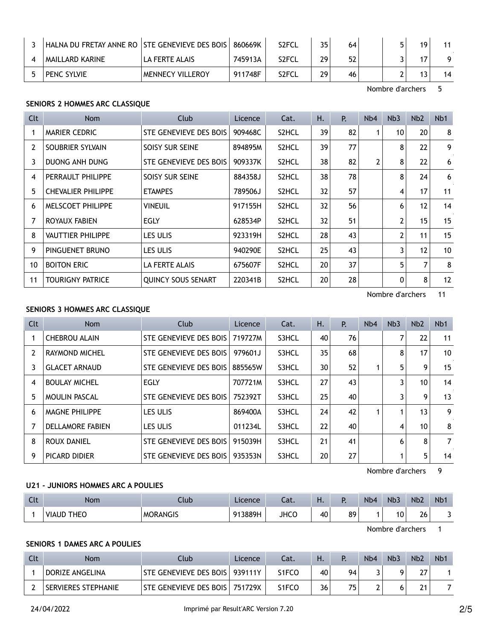| HALNA DU FRETAY ANNE RO   STE GENEVIEVE DES BOIS |                         | 860669K | S <sub>2</sub> FCL | 35 | 64 |  | 19 |    |
|--------------------------------------------------|-------------------------|---------|--------------------|----|----|--|----|----|
| MAILLARD KARINE                                  | LA FERTE ALAIS          | 745913A | S <sub>2</sub> FCL | 29 | 52 |  | 17 |    |
| PENC SYLVIE                                      | <b>MENNECY VILLEROY</b> | 911748F | S <sub>2</sub> FCL | 29 | 46 |  | 13 | 14 |

Nombre d'archers 5

#### **SENIORS 2 HOMMES ARC CLASSIQUE**

| <b>Clt</b>     | Nom                       | Club                      | Licence | Cat.  | н. | Р. | N <sub>b</sub> 4 | Nb <sub>3</sub> | Nb <sub>2</sub> | N <sub>b</sub> 1 |
|----------------|---------------------------|---------------------------|---------|-------|----|----|------------------|-----------------|-----------------|------------------|
|                | MARIER CEDRIC             | STE GENEVIEVE DES BOIS    | 909468C | S2HCL | 39 | 82 |                  | 10              | 20              | 8                |
| $\overline{2}$ | SOUBRIER SYLVAIN          | SOISY SUR SEINE           | 894895M | S2HCL | 39 | 77 |                  | 8               | 22              | 9                |
| 3              | <b>DUONG ANH DUNG</b>     | STE GENEVIEVE DES BOIS    | 909337K | S2HCL | 38 | 82 | $\overline{2}$   | 8               | 22              | 6                |
| 4              | PERRAULT PHILIPPE         | SOISY SUR SEINE           | 884358J | S2HCL | 38 | 78 |                  | 8               | 24              | 6                |
| 5              | <b>CHEVALIER PHILIPPE</b> | <b>ETAMPES</b>            | 789506J | S2HCL | 32 | 57 |                  | 4               | 17              | 11               |
| 6              | <b>MELSCOET PHILIPPE</b>  | VINEUIL                   | 917155H | S2HCL | 32 | 56 |                  | 6               | 12              | 14               |
| 7              | ROYAUX FABIEN             | <b>EGLY</b>               | 628534P | S2HCL | 32 | 51 |                  | $\overline{2}$  | 15              | 15               |
| 8              | <b>VAUTTIER PHILIPPE</b>  | LES ULIS                  | 923319H | S2HCL | 28 | 43 |                  | 2               | 11              | 15               |
| 9              | PINGUENET BRUNO           | LES ULIS                  | 940290E | S2HCL | 25 | 43 |                  | 3               | 12              | 10 <sup>°</sup>  |
| 10             | <b>BOITON ERIC</b>        | LA FERTE ALAIS            | 675607F | S2HCL | 20 | 37 |                  | 5               |                 | 8                |
| 11             | <b>TOURIGNY PATRICE</b>   | <b>OUINCY SOUS SENART</b> | 220341B | S2HCL | 20 | 28 |                  | 0               | 8               | 12               |

Nombre d'archers 11

#### **SENIORS 3 HOMMES ARC CLASSIQUE**

| Clt | <b>Nom</b>              | Club                   | Licence | Cat.  | Η. | P. | Nb4 | Nb <sub>3</sub> | Nb <sub>2</sub> | N <sub>b</sub> 1 |
|-----|-------------------------|------------------------|---------|-------|----|----|-----|-----------------|-----------------|------------------|
|     | <b>CHEBROU ALAIN</b>    | STE GENEVIEVE DES BOIS | 719727M | S3HCL | 40 | 76 |     |                 | 22              | 11               |
| 2   | RAYMOND MICHEL          | STE GENEVIEVE DES BOIS | 979601J | S3HCL | 35 | 68 |     | 8               | 17              | 10               |
| 3   | <b>GLACET ARNAUD</b>    | STE GENEVIEVE DES BOIS | 885565W | S3HCL | 30 | 52 |     | 5               | 9               | 15               |
| 4   | <b>BOULAY MICHEL</b>    | <b>EGLY</b>            | 707721M | S3HCL | 27 | 43 |     |                 | 10 <sup>1</sup> | 14               |
| 5   | <b>MOULIN PASCAL</b>    | STE GENEVIEVE DES BOIS | 752392T | S3HCL | 25 | 40 |     | 3               | 9               | 13               |
| 6   | MAGNE PHILIPPE          | LES ULIS               | 869400A | S3HCL | 24 | 42 |     |                 | 13              | 9                |
|     | <b>DELLAMORE FABIEN</b> | LES ULIS               | 011234L | S3HCL | 22 | 40 |     | 4               | 10              | 8                |
| 8   | ROUX DANIEL             | STE GENEVIEVE DES BOIS | 915039H | S3HCL | 21 | 41 |     | 6               | 8               | $\overline{7}$   |
| 9   | PICARD DIDIER           | STE GENEVIEVE DES BOIS | 935353N | S3HCL | 20 | 27 |     |                 | 5               | 14               |

Nombre d'archers 9

# **U21 - JUNIORS HOMMES ARC A POULIES**

| C14<br>ิ | Nom                         | Club            | Licence | Cat.        | П. | . . | Nb <sub>4</sub> | Nb <sub>-</sub> | Nb <sub>2</sub> | Nb <sup>*</sup> |
|----------|-----------------------------|-----------------|---------|-------------|----|-----|-----------------|-----------------|-----------------|-----------------|
|          | <b>THEO</b><br><b>VIAUD</b> | <b>MORANGIS</b> | 913889H | <b>JHCO</b> | 40 | 89  |                 | 10              | 26              |                 |

Nombre d'archers 1

## **SENIORS 1 DAMES ARC A POULIES**

| Clt | <b>Nom</b>                 | Club                             | Licence | Cat.               | Н. | D  | N <sub>b</sub> 4 | Nb <sub>3</sub> | N <sub>b</sub> 2 | N <sub>b</sub> 1 |
|-----|----------------------------|----------------------------------|---------|--------------------|----|----|------------------|-----------------|------------------|------------------|
|     | DORIZE ANGELINA            | STE GENEVIEVE DES BOIS   939111Y |         | S1FCO              | 40 | 94 |                  | Q               | วว               |                  |
|     | <b>SERVIERES STEPHANIE</b> | STE GENEVIEVE DES BOIS           | 751729X | S <sub>1</sub> FCO | 36 | フド |                  | 6               | 21<br>Ľ          |                  |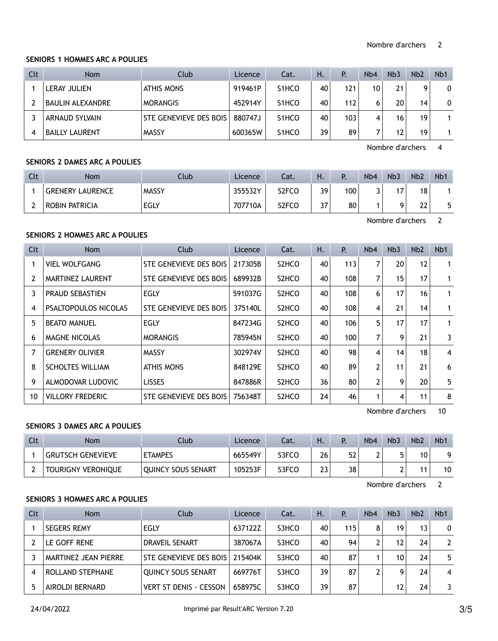#### **SENIORS 1 HOMMES ARC A POULIES**

| Clt | <b>Nom</b>            | Club                   | Licence  | Cat.               | Η. | P.  | N <sub>b</sub> 4 | Nb <sub>3</sub> | Nb <sub>2</sub> | N <sub>b</sub> 1 |
|-----|-----------------------|------------------------|----------|--------------------|----|-----|------------------|-----------------|-----------------|------------------|
|     | <b>LERAY JULIEN</b>   | <b>ATHIS MONS</b>      | 919461P  | S <sub>1</sub> HCO | 40 | 121 | 10               | 21              | q               | 0                |
|     | ' BAULIN ALEXANDRE    | <b>MORANGIS</b>        | 452914Y  | S <sub>1</sub> HCO | 40 | 112 | 6                | 20              | 14              | 0                |
|     | <b>ARNAUD SYLVAIN</b> | STE GENEVIEVE DES BOIS | 880747.1 | S <sub>1</sub> HCO | 40 | 103 | 4                | 16              | 19              |                  |
|     | <b>BAILLY LAURENT</b> | <b>MASSY</b>           | 600365W  | S <sub>1</sub> HCO | 39 | 89  |                  | 12              | 19              |                  |

Nombre d'archers 4

# **SENIORS 2 DAMES ARC A POULIES**

| Clt | <b>Nom</b>              | Club         | Licence | Cat.  | н.  |     | N <sub>b</sub> 4 | Nb3 | Nb <sub>2</sub> | N <sub>b</sub> |
|-----|-------------------------|--------------|---------|-------|-----|-----|------------------|-----|-----------------|----------------|
|     | <b>GRENERY LAURENCE</b> | <b>MASSY</b> | 355532Y | S2FCO | 39  | 100 |                  | דו  | 18              |                |
|     | ROBIN PATRICIA          | EGLY         | 707710A | S2FCO | 37. | 80  |                  | Ω   | 22              | ᄃ              |

Nombre d'archers 2

# **SENIORS 2 HOMMES ARC A POULIES**

| <b>Clt</b>     | Nom                         | Club                   | Licence | Cat.                           | Η. | Р.  | N <sub>b</sub> 4 | Nb <sub>3</sub> | Nb <sub>2</sub> | N <sub>b</sub> 1 |
|----------------|-----------------------------|------------------------|---------|--------------------------------|----|-----|------------------|-----------------|-----------------|------------------|
|                | <b>VIEL WOLFGANG</b>        | STE GENEVIEVE DES BOIS | 217305B | S <sub>2</sub> HCO             | 40 | 113 | 7                | 20              | 12              | 1                |
| $\overline{2}$ | MARTINEZ LAURENT            | STE GENEVIEVE DES BOIS | 689932B | S <sub>2</sub> HCO             | 40 | 108 | 7                | 15              | 17              |                  |
| 3              | <b>PRAUD SEBASTIEN</b>      | <b>EGLY</b>            | 591037G | S <sub>2</sub> HCO             | 40 | 108 | 6                | 17              | 16              |                  |
| 4              | <b>PSALTOPOULOS NICOLAS</b> | STE GENEVIEVE DES BOIS | 375140L | S <sub>2</sub> HCO             | 40 | 108 | 4                | 21              | 14              |                  |
| 5              | <b>BEATO MANUEL</b>         | <b>EGLY</b>            | 847234G | S <sub>2</sub> HCO             | 40 | 106 | 5                | 17              | 17              | 1                |
| 6              | MAGNE NICOLAS               | <b>MORANGIS</b>        | 785945N | S <sub>2</sub> HC <sub>O</sub> | 40 | 100 | 7                | 9               | 21              | 3                |
| 7              | <b>GRENERY OLIVIER</b>      | <b>MASSY</b>           | 302974V | S <sub>2</sub> HCO             | 40 | 98  | 4                | 14              | 18              | 4                |
| 8              | <b>SCHOLTES WILLIAM</b>     | ATHIS MONS             | 848129E | S <sub>2</sub> HCO             | 40 | 89  | 2                | 11              | 21              | 6                |
| 9              | ALMODOVAR LUDOVIC           | <b>LISSES</b>          | 847886R | S <sub>2</sub> HCO             | 36 | 80  | $\overline{2}$   | 9               | 20              | 5                |
| 10             | <b>VILLORY FREDERIC</b>     | STE GENEVIEVE DES BOIS | 756348T | S <sub>2</sub> HCO             | 24 | 46  | 1                | 4               | 11              | 8                |

Nombre d'archers 10

### **SENIORS 3 DAMES ARC A POULIES**

| Clt | Nom                       | Club               | Licence | Cat.  | Н. |    | Nb4 | Nb <sub>3</sub> | Nb <sub>2</sub> | N <sub>b</sub> |
|-----|---------------------------|--------------------|---------|-------|----|----|-----|-----------------|-----------------|----------------|
|     | <b>GRUTSCH GENEVIEVE</b>  | <b>ETAMPES</b>     | 665549Y | S3FCO | 26 | 52 |     |                 | 10              |                |
|     | <b>TOURIGNY VERONIQUE</b> | OUINCY SOUS SENART | 105253F | S3FCO | 23 | 38 |     |                 | 11              | 10             |

Nombre d'archers 2

# **SENIORS 3 HOMMES ARC A POULIES**

| Clt | <b>Nom</b>           | Club                          | Licence | Cat.  | Η. | Р.              | N <sub>b</sub> 4 | Nb <sub>3</sub> | Nb <sub>2</sub> | N <sub>b</sub> 1 |
|-----|----------------------|-------------------------------|---------|-------|----|-----------------|------------------|-----------------|-----------------|------------------|
|     | <b>SEGERS REMY</b>   | EGLY                          | 637122Z | S3HCO | 40 | 115             | 8                | 19              | 13              | 0                |
|     | LE GOFF RENE         | <b>DRAVEIL SENART</b>         | 387067A | S3HCO | 40 | 94 <sub>1</sub> | າ                | 12              | 24              | $\mathbf{2}$     |
|     | MARTINEZ JEAN PIERRE | STE GENEVIEVE DES BOIS        | 215404K | S3HCO | 40 | 87              |                  | 10              | 24              | 5                |
|     | ROLLAND STEPHANE     | <b>QUINCY SOUS SENART</b>     | 669776T | S3HCO | 39 | 87              | ∍                | q               | 24              | 4                |
|     | AIROLDI BERNARD      | <b>VERT ST DENIS - CESSON</b> | 658975C | S3HCO | 39 | 87              |                  | 12              | 24              | 3.               |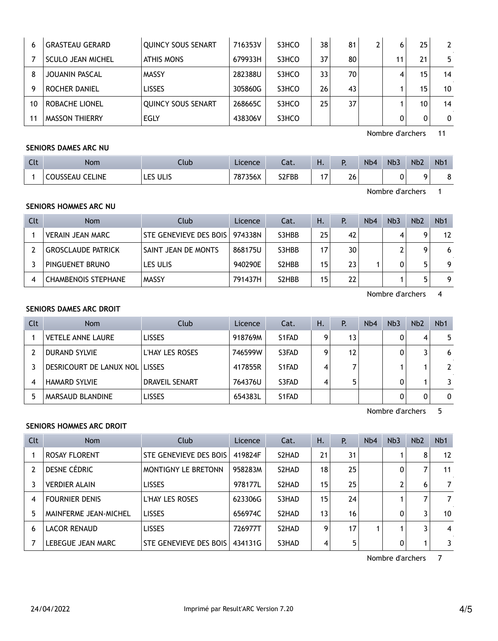| 6  | <b>GRASTEAU GERARD</b> | <b>QUINCY SOUS SENART</b> | 716353V | S3HCO | 38 | 81 | 6  | 25              | $\mathbf{2}$ |
|----|------------------------|---------------------------|---------|-------|----|----|----|-----------------|--------------|
|    | SCULO JEAN MICHEL      | <b>ATHIS MONS</b>         | 679933H | S3HCO | 37 | 80 | 11 | 21              | 5            |
| 8  | JOUANIN PASCAL         | <b>MASSY</b>              | 282388U | S3HCO | 33 | 70 | 4  | 15              | 14           |
| 9  | ROCHER DANIEL          | <b>LISSES</b>             | 305860G | S3HCO | 26 | 43 |    | 15              | 10           |
| 10 | ROBACHE LIONEL         | <b>QUINCY SOUS SENART</b> | 268665C | S3HCO | 25 | 37 |    | 10 <sub>1</sub> | 14           |
| 11 | <b>MASSON THIERRY</b>  | EGLY                      | 438306V | S3HCO |    |    |    | 0               | 0            |

Nombre d'archers 11

# **SENIORS DAMES ARC NU**

| $\sim$<br>ิ | Nom                         | Club                | Licence | Cat.  | . .                                       | . . | N <sub>b</sub> 4 | Nb <sub>3</sub> | Nb <sub>2</sub> | Nb |
|-------------|-----------------------------|---------------------|---------|-------|-------------------------------------------|-----|------------------|-----------------|-----------------|----|
|             | I CELINE<br><b>COUSSEAU</b> | $-$<br>ULIS<br>LES. | 787356X | S2FBB | $\rightarrow$<br>$\overline{\phantom{a}}$ | 26  |                  |                 | Ω               | -  |

Nombre d'archers 1

# **SENIORS HOMMES ARC NU**

| Clt | Nom                        | Club                   | Licence | Cat.                            | Η. | Р. | N <sub>b</sub> 4 | Nb <sub>3</sub> | Nb <sub>2</sub> | Nb <sub>1</sub> |
|-----|----------------------------|------------------------|---------|---------------------------------|----|----|------------------|-----------------|-----------------|-----------------|
|     | <b>VERAIN JEAN MARC</b>    | STE GENEVIEVE DES BOIS | 974338N | S3HBB                           | 25 | 42 |                  |                 | Q               | 12              |
|     | <b>GROSCLAUDE PATRICK</b>  | SAINT JEAN DE MONTS    | 868175U | S3HBB                           | 17 | 30 |                  |                 |                 | 6               |
|     | PINGUENET BRUNO            | LES ULIS               | 940290E | S <sub>2</sub> HB <sub>B</sub>  | 15 | 23 |                  | 0               | г,              | 9               |
|     | <b>CHAMBENOIS STEPHANE</b> | <b>MASSY</b>           | 791437H | S <sub>2</sub> H <sub>B</sub> B | 15 | 22 |                  |                 | г.              | 9               |

Nombre d'archers 4

# **SENIORS DAMES ARC DROIT**

| <b>Clt</b> | <b>Nom</b>                            | Club                   | Licence | Cat.  | Η. | Р. | Nb4 | Nb <sub>3</sub> | Nb <sub>2</sub> | N <sub>b</sub> 1 |
|------------|---------------------------------------|------------------------|---------|-------|----|----|-----|-----------------|-----------------|------------------|
|            | <b>VETELE ANNE LAURE</b>              | <b>LISSES</b>          | 918769M | S1FAD | q  | 13 |     | 0               | 4               | 5                |
|            | DURAND SYLVIE                         | <b>L'HAY LES ROSES</b> | 746599W | S3FAD | q  | 12 |     |                 | 3               | 6                |
|            | <b>DESRICOURT DE LANUX NOL LISSES</b> |                        | 417855R | S1FAD | 4  |    |     |                 |                 | $\mathbf{2}$     |
|            | <b>HAMARD SYLVIE</b>                  | <b>DRAVEIL SENART</b>  | 764376U | S3FAD | 4  |    |     | 0               |                 | 3                |
|            | MARSAUD BLANDINE                      | <b>LISSES</b>          | 654383L | S1FAD |    |    |     | 0               | 0               | 0                |

Nombre d'archers 5

# **SENIORS HOMMES ARC DROIT**

| Clt | <b>Nom</b>            | Club                       | Licence | Cat.  | Н.              | P. | Nb4 | Nb <sub>3</sub> | N <sub>b</sub> 2 | N <sub>b</sub> 1 |
|-----|-----------------------|----------------------------|---------|-------|-----------------|----|-----|-----------------|------------------|------------------|
|     | <b>ROSAY FLORENT</b>  | STE GENEVIEVE DES BOIS     | 419824F | S2HAD | 21              | 31 |     |                 | 8                | 12               |
|     | DESNE CÉDRIC          | <b>MONTIGNY LE BRETONN</b> | 958283M | S2HAD | 18              | 25 |     | 0               | 7                | 11               |
|     | <b>VERDIER ALAIN</b>  | <b>LISSES</b>              | 978177L | S2HAD | 15              | 25 |     |                 | 6                | 7                |
| 4   | <b>FOURNIER DENIS</b> | L'HAY LES ROSES            | 623306G | S3HAD | 15 <sub>1</sub> | 24 |     |                 | 7                | 7                |
| 5   | MAINFERME JEAN-MICHEL | <b>LISSES</b>              | 656974C | S2HAD | 13              | 16 |     | 0               | 3                | 10               |
| 6   | LACOR RENAUD          | <b>LISSES</b>              | 726977T | S2HAD | 9               | 17 |     |                 | 3                | 4                |
|     | LEBEGUE JEAN MARC     | STE GENEVIEVE DES BOIS     | 434131G | S3HAD | 4               | 5  |     | $\mathbf{0}$    |                  | 3                |

Nombre d'archers 7